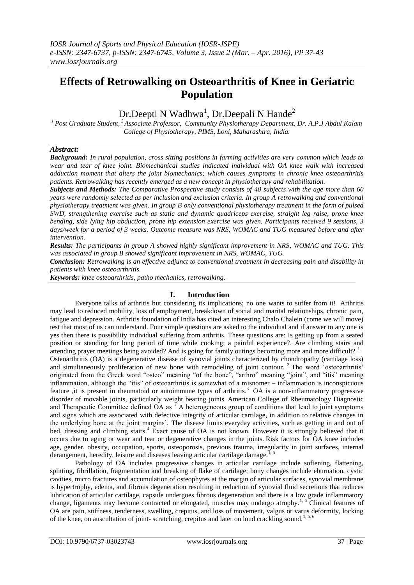# **Effects of Retrowalking on Osteoarthritis of Knee in Geriatric Population**

# Dr.Deepti N Wadhwa<sup>1</sup>, Dr.Deepali N Hande<sup>2</sup>

*<sup>1</sup>Post Graduate Student, <sup>2</sup>Associate Professor, Community Physiotherapy Department, Dr. A.P.J Abdul Kalam College of Physiotherapy, PIMS, Loni, Maharashtra, India.*

## *Abstract:*

*Background: In rural population, cross sitting positions in farming activities are very common which leads to wear and tear of knee joint. Biomechanical studies indicated individual with OA knee walk with increased adduction moment that alters the joint biomechanics; which causes symptoms in chronic knee osteoarthritis patients. Retrowalking has recently emerged as a new concept in physiotherapy and rehabilitation.*

*Subjects and Methods: The Comparative Prospective study consists of 40 subjects with the age more than 60 years were randomly selected as per inclusion and exclusion criteria. In group A retrowalking and conventional physiotherapy treatment was given. In group B only conventional physiotherapy treatment in the form of pulsed SWD, strengthening exercise such as static and dynamic quadriceps exercise, straight leg raise, prone knee bending, side lying hip abduction, prone hip extension exercise was given. Participants received 9 sessions, 3 days/week for a period of 3 weeks. Outcome measure was NRS, WOMAC and TUG measured before and after intervention.* 

*Results: The participants in group A showed highly significant improvement in NRS, WOMAC and TUG. This was associated in group B showed significant improvement in NRS, WOMAC, TUG.*

*Conclusion: Retrowalking is an effective adjunct to conventional treatment in decreasing pain and disability in patients with knee osteoarthritis.*

*Keywords: knee osteoarthritis, patho mechanics, retrowalking*.

## **I. Introduction**

Everyone talks of arthritis but considering its implications; no one wants to suffer from it! Arthritis may lead to reduced mobility, loss of employment, breakdown of social and marital relationships, chronic pain, fatigue and depression. Arthritis foundation of India has cited an interesting Chalo Chalein (come we will move) test that most of us can understand. Four simple questions are asked to the individual and if answer to any one is yes then there is possibility individual suffering from arthritis. These questions are: Is getting up from a seated position or standing for long period of time while cooking; a painful experience?, Are climbing stairs and attending prayer meetings being avoided? And is going for family outings becoming more and more difficult?  $1$ Osteoarthritis (OA) is a degenerative disease of synovial joints characterized by chondropathy (cartilage loss) and simultaneously proliferation of new bone with remodeling of joint contour. <sup>2</sup> The word 'osteoarthritis' originated from the Greek word "osteo" meaning "of the bone", "arthro" meaning "joint", and "itis" meaning inflammation, although the "itis" of osteoarthritis is somewhat of a misnomer – inflammation is inconspicuous feature ,it is present in rheumatoid or autoimmune types of arthritis.<sup>3</sup> OA is a non-inflammatory progressive disorder of movable joints, particularly weight bearing joints. American College of Rheumatology Diagnostic and Therapeutic Committee defined OA as " A heterogeneous group of conditions that lead to joint symptoms and signs which are associated with defective integrity of articular cartilage, in addition to relative changes in the underlying bone at the joint margins". The disease limits everyday activities, such as getting in and out of bed, dressing and climbing stairs.<sup>4</sup> Exact cause of OA is not known. However it is strongly believed that it occurs due to aging or wear and tear or degenerative changes in the joints. Risk factors for OA knee includes age, gender, obesity, occupation, sports, osteoporosis, previous trauma, irregularity in joint surfaces, internal derangement, heredity, leisure and diseases leaving articular cartilage damage.<sup>1, 5</sup>

Pathology of OA includes progressive changes in articular cartilage include softening, flattening, splitting, fibrillation, fragmentation and breaking of flake of cartilage; bony changes include eburnation, cystic cavities, micro fractures and accumulation of osteophytes at the margin of articular surfaces, synovial membrane is hypertrophy, edema, and fibrous degeneration resulting in reduction of synovial fluid secretions that reduces lubrication of articular cartilage, capsule undergoes fibrous degeneration and there is a low grade inflammatory change, ligaments may become contracted or elongated, muscles may undergo atrophy.<sup>1, 6</sup> Clinical features of OA are pain, stiffness, tenderness, swelling, crepitus, and loss of movement, valgus or varus deformity, locking of the knee, on auscultation of joint- scratching, crepitus and later on loud crackling sound.<sup>1, 5, 6</sup>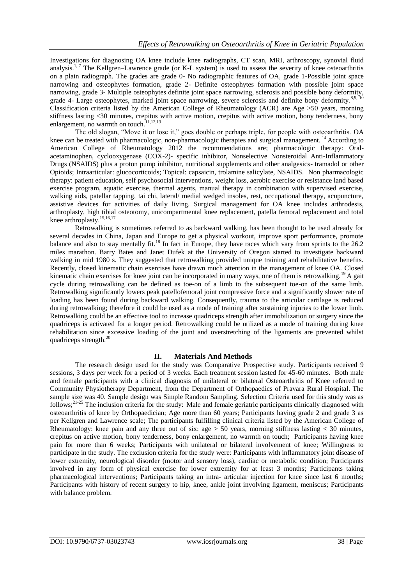Investigations for diagnosing OA knee include knee radiographs, CT scan, MRI, arthroscopy, synovial fluid analysis.<sup>1, 7</sup> The Kellgren–Lawrence grade (or K-L system) is used to assess the severity of knee osteoarthritis on a plain radiograph. The grades are grade 0- No radiographic features of OA, grade 1-Possible joint space narrowing and osteophytes formation, grade 2- Definite osteophytes formation with possible joint space narrowing, grade 3- Multiple osteophytes definite joint space narrowing, sclerosis and possible bony deformity, grade 4- Large osteophytes, marked joint space narrowing, severe sclerosis and definite bony deformity.<sup>8,9, 10</sup> Classification criteria listed by the American College of Rheumatology (ACR) are Age >50 years, morning stiffness lasting <30 minutes, crepitus with active motion, crepitus with active motion, bony tenderness, bony enlargement, no warmth on touch.<sup>11,12,13</sup>

The old slogan, "Move it or lose it," goes double or perhaps triple, for people with osteoarthritis. OA knee can be treated with pharmacologic, non-pharmacologic therapies and surgical management.<sup>14</sup> According to American College of Rheumatology 2012 the recommendations are; pharmacologic therapy: Oralacetaminophen, cyclooxygenase (COX-2)- specific inhibitor, Nonselective Nonsteroidal Anti-Inflammatory Drugs (NSAIDS) plus a proton pump inhibitor, nutritional supplements and other analgesics- tramadol or other Opioids; Intraarticular: glucocorticoids; Topical: capsaicin, trolamine salicylate, NSAIDS. Non pharmacologic therapy: patient education, self psychosocial interventions, weight loss, aerobic exercise or resistance land based exercise program, aquatic exercise, thermal agents, manual therapy in combination with supervised exercise, walking aids, patellar tapping, tai chi, lateral/ medial wedged insoles, rest, occupational therapy, acupuncture, assistive devices for activities of daily living. Surgical management for OA knee includes arthrodesis, arthroplasty, high tibial osteotomy, unicompartmental knee replacement, patella femoral replacement and total knee arthroplasty. 15,16,17

Retrowalking is sometimes referred to as backward walking, has been thought to be used already for several decades in China, Japan and Europe to get a physical workout, improve sport performance, promote balance and also to stay mentally fit.<sup>18</sup> In fact in Europe, they have races which vary from sprints to the 26.2 miles marathon. Barry Bates and Janet Dufek at the University of Oregon started to investigate backward walking in mid 1980 s. They suggested that retrowalking provided unique training and rehabilitative benefits. Recently, closed kinematic chain exercises have drawn much attention in the management of knee OA. Closed kinematic chain exercises for knee joint can be incorporated in many ways, one of them is retrowalking.<sup>19</sup> A gait cycle during retrowalking can be defined as toe-on of a limb to the subsequent toe-on of the same limb. Retrowalking significantly lowers peak patellofemoral joint compressive force and a significantly slower rate of loading has been found during backward walking. Consequently, trauma to the articular cartilage is reduced during retrowalking; therefore it could be used as a mode of training after sustaining injuries to the lower limb. Retrowalking could be an effective tool to increase quadriceps strength after immobilization or surgery since the quadriceps is activated for a longer period. Retrowalking could be utilized as a mode of training during knee rehabilitation since excessive loading of the joint and overstretching of the ligaments are prevented whilst quadriceps strength. $^{20}$ 

## **II. Materials And Methods**

The research design used for the study was Comparative Prospective study. Participants received 9 sessions, 3 days per week for a period of 3 weeks. Each treatment session lasted for 45-60 minutes. Both male and female participants with a clinical diagnosis of unilateral or bilateral Osteoarthritis of Knee referred to Community Physiotherapy Department, from the Department of Orthopaedics of Pravara Rural Hospital. The sample size was 40. Sample design was Simple Random Sampling. Selection Criteria used for this study was as follows; $^{21-25}$  The inclusion criteria for the study: Male and female geriatric participants clinically diagnosed with osteoarthritis of knee by Orthopaedician; Age more than 60 years; Participants having grade 2 and grade 3 as per Kellgren and Lawrence scale; The participants fulfilling clinical criteria listed by the American College of Rheumatology: knee pain and any three out of six: age  $> 50$  years, morning stiffness lasting  $< 30$  minutes, crepitus on active motion, bony tenderness, bony enlargement, no warmth on touch; Participants having knee pain for more than 6 weeks; Participants with unilateral or bilateral involvement of knee; Willingness to participate in the study. The exclusion criteria for the study were: Participants with inflammatory joint disease of lower extremity, neurological disorder (motor and sensory loss), cardiac or metabolic condition; Participants involved in any form of physical exercise for lower extremity for at least 3 months; Participants taking pharmacological interventions; Participants taking an intra- articular injection for knee since last 6 months; Participants with history of recent surgery to hip, knee, ankle joint involving ligament, meniscus; Participants with balance problem.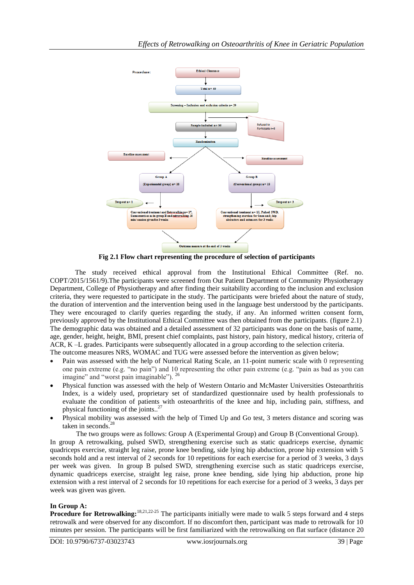

**Fig 2.1 Flow chart representing the procedure of selection of participants**

The study received ethical approval from the Institutional Ethical Committee (Ref. no. COPT/2015/1561/9).The participants were screened from Out Patient Department of Community Physiotherapy Department, College of Physiotherapy and after finding their suitability according to the inclusion and exclusion criteria, they were requested to participate in the study. The participants were briefed about the nature of study, the duration of intervention and the intervention being used in the language best understood by the participants. They were encouraged to clarify queries regarding the study, if any. An informed written consent form, previously approved by the Institutional Ethical Committee was then obtained from the participants. (figure 2.1) The demographic data was obtained and a detailed assessment of 32 participants was done on the basis of name, age, gender, height, height, BMI, present chief complaints, past history, pain history, medical history, criteria of ACR, K –L grades. Participants were subsequently allocated in a group according to the selection criteria. The outcome measures NRS, WOMAC and TUG were assessed before the intervention as given below;

- Pain was assessed with the help of Numerical Rating Scale, an 11-point numeric scale with 0 representing one pain extreme (e.g. "no pain") and 10 representing the other pain extreme (e.g. "pain as bad as you can imagine" and "worst pain imaginable"). <sup>26</sup>
- Physical function was assessed with the help of Western Ontario and McMaster Universities Osteoarthritis Index, is a widely used, proprietary set of standardized questionnaire used by health professionals to evaluate the condition of patients with osteoarthritis of the [knee](http://en.wikipedia.org/wiki/Knee) and [hip,](http://en.wikipedia.org/wiki/Hip) including pain, stiffness, and physical functioning of the joints..<sup>27</sup>
- Physical mobility was assessed with the help of Timed Up and Go test, 3 meters distance and scoring was taken in seconds. 28

 The two groups were as follows: Group A (Experimental Group) and Group B (Conventional Group). In group A retrowalking, pulsed SWD, strengthening exercise such as static quadriceps exercise, dynamic quadriceps exercise, straight leg raise, prone knee bending, side lying hip abduction, prone hip extension with 5 seconds hold and a rest interval of 2 seconds for 10 repetitions for each exercise for a period of 3 weeks, 3 days per week was given. In group B pulsed SWD, strengthening exercise such as static quadriceps exercise, dynamic quadriceps exercise, straight leg raise, prone knee bending, side lying hip abduction, prone hip extension with a rest interval of 2 seconds for 10 repetitions for each exercise for a period of 3 weeks, 3 days per week was given was given.

## **In Group A:**

**Procedure for Retrowalking:**<sup>18,21,22-25</sup> The participants initially were made to walk 5 steps forward and 4 steps retrowalk and were observed for any discomfort. If no discomfort then, participant was made to retrowalk for 10 minutes per session. The participants will be first familiarized with the retrowalking on flat surface (distance 20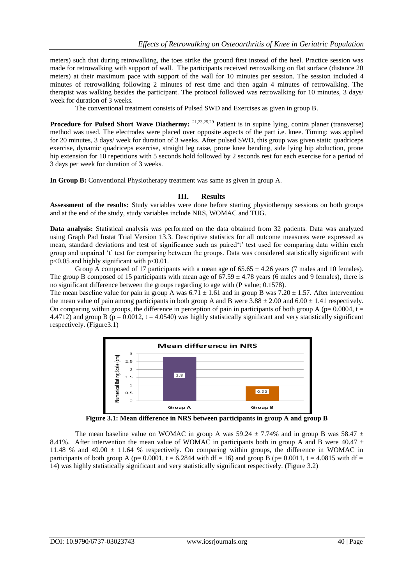meters) such that during retrowalking, the toes strike the ground first instead of the heel. Practice session was made for retrowalking with support of wall. The participants received retrowalking on flat surface (distance 20 meters) at their maximum pace with support of the wall for 10 minutes per session. The session included 4 minutes of retrowalking following 2 minutes of rest time and then again 4 minutes of retrowalking. The therapist was walking besides the participant. The protocol followed was retrowalking for 10 minutes, 3 days/ week for duration of 3 weeks.

The conventional treatment consists of Pulsed SWD and Exercises as given in group B.

**Procedure for Pulsed Short Wave Diathermy:** <sup>21,23,25,29</sup> Patient is in supine lying, contra planer (transverse) method was used. The electrodes were placed over opposite aspects of the part i.e. knee. Timing: was applied for 20 minutes, 3 days/ week for duration of 3 weeks. After pulsed SWD, this group was given static quadriceps exercise, dynamic quadriceps exercise, straight leg raise, prone knee bending, side lying hip abduction, prone hip extension for 10 repetitions with 5 seconds hold followed by 2 seconds rest for each exercise for a period of 3 days per week for duration of 3 weeks.

**In Group B:** Conventional Physiotherapy treatment was same as given in group A.

### **III. Results**

**Assessment of the results:** Study variables were done before starting physiotherapy sessions on both groups and at the end of the study, study variables include NRS, WOMAC and TUG.

**Data analysis:** Statistical analysis was performed on the data obtained from 32 patients. Data was analyzed using Graph Pad Instat Trial Version 13.3. Descriptive statistics for all outcome measures were expressed as mean, standard deviations and test of significance such as paired"t" test used for comparing data within each group and unpaired "t" test for comparing between the groups. Data was considered statistically significant with p<0.05 and highly significant with p<0.01.

Group A composed of 17 participants with a mean age of  $65.65 \pm 4.26$  years (7 males and 10 females). The group B composed of 15 participants with mean age of  $67.59 \pm 4.78$  years (6 males and 9 females), there is no significant difference between the groups regarding to age with (P value; 0.1578).

The mean baseline value for pain in group A was  $6.71 \pm 1.61$  and in group B was 7.20  $\pm$  1.57. After intervention the mean value of pain among participants in both group A and B were  $3.88 \pm 2.00$  and  $6.00 \pm 1.41$  respectively. On comparing within groups, the difference in perception of pain in participants of both group A ( $p= 0.0004$ , t = 4.4712) and group B ( $p = 0.0012$ ,  $t = 4.0540$ ) was highly statistically significant and very statistically significant respectively. (Figure3.1)



**Figure 3.1: Mean difference in NRS between participants in group A and group B**

The mean baseline value on WOMAC in group A was 59.24  $\pm$  7.74% and in group B was 58.47  $\pm$ 8.41%. After intervention the mean value of WOMAC in participants both in group A and B were 40.47  $\pm$ 11.48 % and 49.00 ± 11.64 % respectively. On comparing within groups, the difference in WOMAC in participants of both group A ( $p= 0.0001$ ,  $t = 6.2844$  with df = 16) and group B ( $p= 0.0011$ ,  $t = 4.0815$  with df = 14) was highly statistically significant and very statistically significant respectively. (Figure 3.2)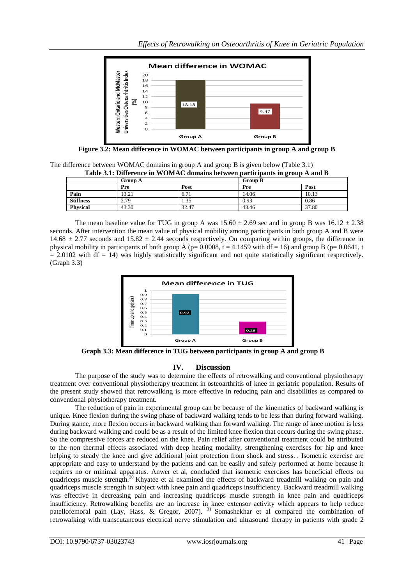

**Figure 3.2: Mean difference in WOMAC between participants in group A and group B**

The difference between WOMAC domains in group A and group B is given below (Table 3.1) **Table 3.1: Difference in WOMAC domains between participants in group A and B**

|                  | $\sim$ which is interested in the claims we community week parameter and growp is what is<br>Group A |       | <b>Group B</b> |       |
|------------------|------------------------------------------------------------------------------------------------------|-------|----------------|-------|
|                  | Pre                                                                                                  | Post  | Pre            | Post  |
| Pain             | 13.21                                                                                                | 6.71  | 14.06          | 10.13 |
| <b>Stiffness</b> | 2.79                                                                                                 | . 35  | 0.93           | 0.86  |
| <b>Physical</b>  | 43.30                                                                                                | 32.47 | 43.46          | 37.80 |

The mean baseline value for TUG in group A was  $15.60 \pm 2.69$  sec and in group B was  $16.12 \pm 2.38$ seconds. After intervention the mean value of physical mobility among participants in both group A and B were 14.68  $\pm$  2.77 seconds and 15.82  $\pm$  2.44 seconds respectively. On comparing within groups, the difference in physical mobility in participants of both group A ( $p= 0.0008$ ,  $t = 4.1459$  with df = 16) and group B ( $p= 0.0641$ , t  $= 2.0102$  with df  $= 14$ ) was highly statistically significant and not quite statistically significant respectively. (Graph 3.3)



 **Graph 3.3: Mean difference in TUG between participants in group A and group B**

# **IV. Discussion**

The purpose of the study was to determine the effects of retrowalking and conventional physiotherapy treatment over conventional physiotherapy treatment in osteoarthritis of knee in geriatric population. Results of the present study showed that retrowalking is more effective in reducing pain and disabilities as compared to conventional physiotherapy treatment.

The reduction of pain in experimental group can be because of the kinematics of backward walking is unique**.** Knee flexion during the swing phase of backward walking tends to be less than during forward walking. During stance, more flexion occurs in backward walking than forward walking. The range of knee motion is less during backward walking and could be as a result of the limited knee flexion that occurs during the swing phase. So the compressive forces are reduced on the knee. Pain relief after conventional treatment could be attributed to the non thermal effects associated with deep heating modality, strengthening exercises for hip and knee helping to steady the knee and give additional joint protection from shock and stress. . Isometric exercise are appropriate and easy to understand by the patients and can be easily and safely performed at home because it requires no or minimal apparatus. Anwer et al, concluded that isometric exercises has beneficial effects on quadriceps muscle strength.<sup>30</sup> Khyatee et al examined the effects of backward treadmill walking on pain and quadriceps muscle strength in subject with knee pain and quadriceps insufficiency. Backward treadmill walking was effective in decreasing pain and increasing quadriceps muscle strength in knee pain and quadriceps insufficiency. Retrowalking benefits are an increase in knee extensor activity which appears to help reduce patellofemoral pain (Lay, Hass, & Gregor, 2007). <sup>31</sup> Somashekhar et al compared the combination of retrowalking with transcutaneous electrical nerve stimulation and ultrasound therapy in patients with grade 2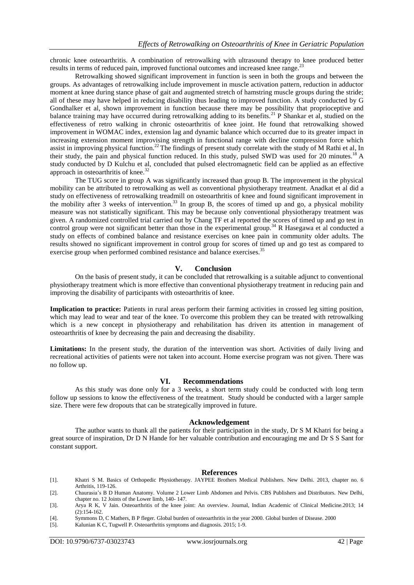chronic knee osteoarthritis. A combination of retrowalking with ultrasound therapy to knee produced better results in terms of reduced pain, improved functional outcomes and increased knee range.<sup>23</sup>

Retrowalking showed significant improvement in function is seen in both the groups and between the groups. As advantages of retrowalking include improvement in muscle activation pattern, reduction in adductor moment at knee during stance phase of gait and augmented stretch of hamstring muscle groups during the stride; all of these may have helped in reducing disability thus leading to improved function. A study conducted by G Gondhalker et al, shown improvement in function because there may be possibility that proprioceptive and balance training may have occurred during retrowalking adding to its benefits.<sup>21</sup> P Shankar et al, studied on the effectiveness of retro walking in chronic osteoarthritis of knee joint. He found that retrowalking showed improvement in WOMAC index, extension lag and dynamic balance which occurred due to its greater impact in increasing extension moment improvising strength in functional range with decline compression force which assist in improving physical function.<sup>22</sup>The findings of present study correlate with the study of M Rathi et al, In their study, the pain and physical function reduced. In this study, pulsed SWD was used for 20 minutes.<sup>18</sup> A study conducted by D Kulchu et al, concluded that pulsed electromagnetic field can be applied as an effective approach in osteoarthritis of knee. $3$ 

The TUG score in group A was significantly increased than group B. The improvement in the physical mobility can be attributed to retrowalking as well as conventional physiotherapy treatment. Anadkat et al did a study on effectiveness of retrowalking treadmill on osteoarthritis of knee and found significant improvement in the mobility after 3 weeks of intervention.<sup>33</sup> In group B, the scores of timed up and go, a physical mobility measure was not statistically significant. This may be because only conventional physiotherapy treatment was given. A randomized controlled trial carried out by Chang TF et al reported the scores of timed up and go test in control group were not significant better than those in the experimental group.<sup>34</sup> R Hasegawa et al conducted a study on effects of combined balance and resistance exercises on knee pain in community older adults. The results showed no significant improvement in control group for scores of timed up and go test as compared to exercise group when performed combined resistance and balance exercises.<sup>35</sup>

### **V. Conclusion**

On the basis of present study, it can be concluded that retrowalking is a suitable adjunct to conventional physiotherapy treatment which is more effective than conventional physiotherapy treatment in reducing pain and improving the disability of participants with osteoarthritis of knee.

**Implication to practice:** Patients in rural areas perform their farming activities in crossed leg sitting position, which may lead to wear and tear of the knee. To overcome this problem they can be treated with retrowalking which is a new concept in physiotherapy and rehabilitation has driven its attention in management of osteoarthritis of knee by decreasing the pain and decreasing the disability.

**Limitations:** In the present study, the duration of the intervention was short. Activities of daily living and recreational activities of patients were not taken into account. Home exercise program was not given. There was no follow up.

#### **VI. Recommendations**

As this study was done only for a 3 weeks, a short term study could be conducted with long term follow up sessions to know the effectiveness of the treatment. Study should be conducted with a larger sample size. There were few dropouts that can be strategically improved in future.

#### **Acknowledgement**

The author wants to thank all the patients for their participation in the study, Dr S M Khatri for being a great source of inspiration, Dr D N Hande for her valuable contribution and encouraging me and Dr S S Sant for constant support.

#### **References**

- [1]. Khatri S M. Basics of Orthopedic Physiotherapy. JAYPEE Brothers Medical Publishers. New Delhi. 2013, chapter no. 6 Arthritis, 119-126.
- [2]. Chaurasia"s B D Human Anatomy. Volume 2 Lower Limb Abdomen and Pelvis. CBS Publishers and Distributors. New Delhi, chapter no. 12 Joints of the Lower limb, 140- 147.
- [3]. Arya R K, V Jain. Osteoarthritis of the knee joint: An overview. Journal, Indian Academic of Clinical Medicine.2013; 14 (2):154-162.
- [4]. Symmons D, C Mathers, B P fleger. Global burden of osteoarthritis in the year 2000. Global burden of Disease. 2000
- [5]. Kalunian K C, Tugwell P. Osteoarthritis symptoms and diagnosis. 2015; 1-9.